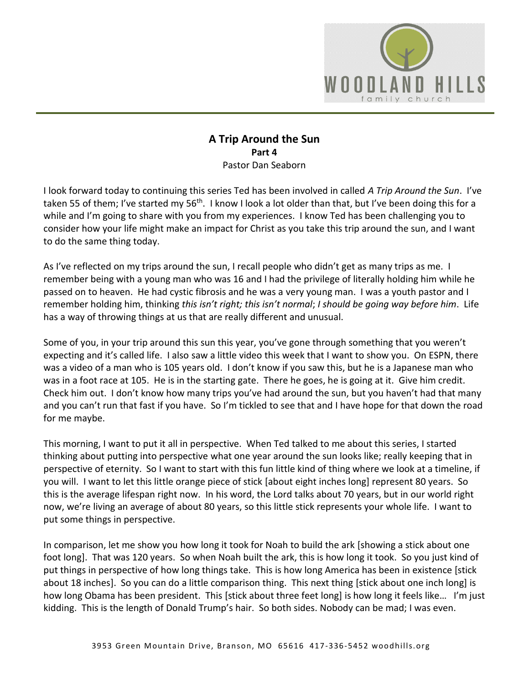

## **A Trip Around the Sun Part 4**  Pastor Dan Seaborn

I look forward today to continuing this series Ted has been involved in called *A Trip Around the Sun*. I've taken 55 of them; I've started my 56<sup>th</sup>. I know I look a lot older than that, but I've been doing this for a while and I'm going to share with you from my experiences. I know Ted has been challenging you to consider how your life might make an impact for Christ as you take this trip around the sun, and I want to do the same thing today.

As I've reflected on my trips around the sun, I recall people who didn't get as many trips as me. I remember being with a young man who was 16 and I had the privilege of literally holding him while he passed on to heaven. He had cystic fibrosis and he was a very young man. I was a youth pastor and I remember holding him, thinking *this isn't right; this isn't normal*; *I should be going way before him*. Life has a way of throwing things at us that are really different and unusual.

Some of you, in your trip around this sun this year, you've gone through something that you weren't expecting and it's called life. I also saw a little video this week that I want to show you. On ESPN, there was a video of a man who is 105 years old. I don't know if you saw this, but he is a Japanese man who was in a foot race at 105. He is in the starting gate. There he goes, he is going at it. Give him credit. Check him out. I don't know how many trips you've had around the sun, but you haven't had that many and you can't run that fast if you have. So I'm tickled to see that and I have hope for that down the road for me maybe.

This morning, I want to put it all in perspective. When Ted talked to me about this series, I started thinking about putting into perspective what one year around the sun looks like; really keeping that in perspective of eternity. So I want to start with this fun little kind of thing where we look at a timeline, if you will. I want to let this little orange piece of stick [about eight inches long] represent 80 years. So this is the average lifespan right now. In his word, the Lord talks about 70 years, but in our world right now, we're living an average of about 80 years, so this little stick represents your whole life. I want to put some things in perspective.

In comparison, let me show you how long it took for Noah to build the ark [showing a stick about one foot long]. That was 120 years. So when Noah built the ark, this is how long it took. So you just kind of put things in perspective of how long things take. This is how long America has been in existence [stick about 18 inches]. So you can do a little comparison thing. This next thing [stick about one inch long] is how long Obama has been president. This [stick about three feet long] is how long it feels like... I'm just kidding. This is the length of Donald Trump's hair. So both sides. Nobody can be mad; I was even.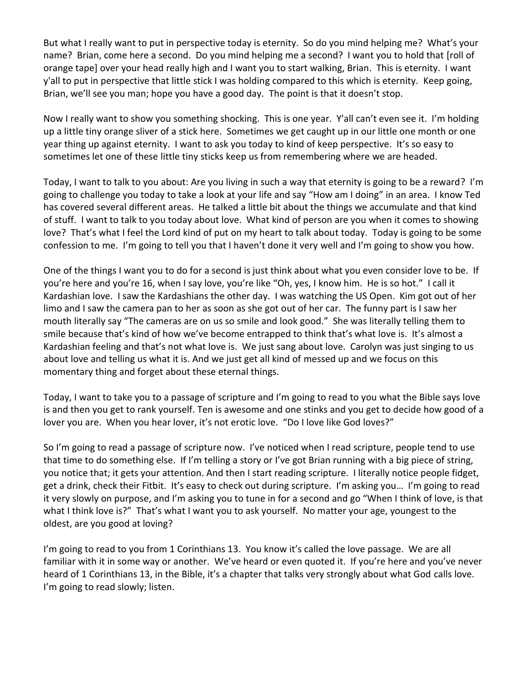But what I really want to put in perspective today is eternity. So do you mind helping me? What's your name? Brian, come here a second. Do you mind helping me a second? I want you to hold that [roll of orange tape] over your head really high and I want you to start walking, Brian. This is eternity. I want y'all to put in perspective that little stick I was holding compared to this which is eternity. Keep going, Brian, we'll see you man; hope you have a good day. The point is that it doesn't stop.

Now I really want to show you something shocking. This is one year. Y'all can't even see it. I'm holding up a little tiny orange sliver of a stick here. Sometimes we get caught up in our little one month or one year thing up against eternity. I want to ask you today to kind of keep perspective. It's so easy to sometimes let one of these little tiny sticks keep us from remembering where we are headed.

Today, I want to talk to you about: Are you living in such a way that eternity is going to be a reward? I'm going to challenge you today to take a look at your life and say "How am I doing" in an area. I know Ted has covered several different areas. He talked a little bit about the things we accumulate and that kind of stuff. I want to talk to you today about love. What kind of person are you when it comes to showing love? That's what I feel the Lord kind of put on my heart to talk about today. Today is going to be some confession to me. I'm going to tell you that I haven't done it very well and I'm going to show you how.

One of the things I want you to do for a second is just think about what you even consider love to be. If you're here and you're 16, when I say love, you're like "Oh, yes, I know him. He is so hot." I call it Kardashian love. I saw the Kardashians the other day. I was watching the US Open. Kim got out of her limo and I saw the camera pan to her as soon as she got out of her car. The funny part is I saw her mouth literally say "The cameras are on us so smile and look good." She was literally telling them to smile because that's kind of how we've become entrapped to think that's what love is. It's almost a Kardashian feeling and that's not what love is. We just sang about love. Carolyn was just singing to us about love and telling us what it is. And we just get all kind of messed up and we focus on this momentary thing and forget about these eternal things.

Today, I want to take you to a passage of scripture and I'm going to read to you what the Bible says love is and then you get to rank yourself. Ten is awesome and one stinks and you get to decide how good of a lover you are. When you hear lover, it's not erotic love. "Do I love like God loves?"

So I'm going to read a passage of scripture now. I've noticed when I read scripture, people tend to use that time to do something else. If I'm telling a story or I've got Brian running with a big piece of string, you notice that; it gets your attention. And then I start reading scripture. I literally notice people fidget, get a drink, check their Fitbit. It's easy to check out during scripture. I'm asking you… I'm going to read it very slowly on purpose, and I'm asking you to tune in for a second and go "When I think of love, is that what I think love is?" That's what I want you to ask yourself. No matter your age, youngest to the oldest, are you good at loving?

I'm going to read to you from 1 Corinthians 13. You know it's called the love passage. We are all familiar with it in some way or another. We've heard or even quoted it. If you're here and you've never heard of 1 Corinthians 13, in the Bible, it's a chapter that talks very strongly about what God calls love. I'm going to read slowly; listen.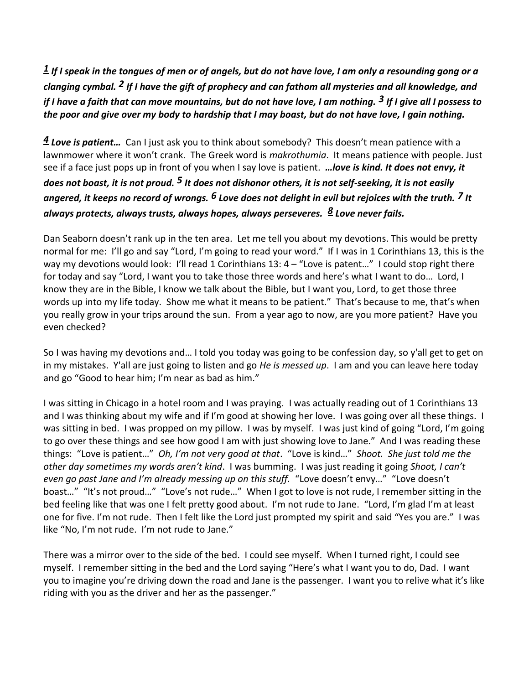*[1](http://www.studylight.org/desk/?q=1co%2013:1&t1=en_niv&sr=1) If I speak in the tongues of men or of angels, but do not have love, I am only a resounding gong or a clanging cymbal. [2](http://www.studylight.org/desk/?q=1co%2013:2&t1=en_niv&sr=1) If I have the gift of prophecy and can fathom all mysteries and all knowledge, and if I have a faith that can move mountains, but do not have love, I am nothing. [3](http://www.studylight.org/desk/?q=1co%2013:3&t1=en_niv&sr=1) If I give all I possess to the poor and give over my body to hardship that I may boast, but do not have love, I gain nothing.*

*[4](http://www.studylight.org/desk/?q=1co%2013:4&t1=en_niv&sr=1) Love is patient…* Can I just ask you to think about somebody? This doesn't mean patience with a lawnmower where it won't crank. The Greek word is *makrothumia*. It means patience with people. Just see if a face just pops up in front of you when I say love is patient. *…love is kind. It does not envy, it does not boast, it is not proud. [5](http://www.studylight.org/desk/?q=1co%2013:5&t1=en_niv&sr=1) It does not dishonor others, it is not self-seeking, it is not easily angered, it keeps no record of wrongs. [6](http://www.studylight.org/desk/?q=1co%2013:6&t1=en_niv&sr=1) Love does not delight in evil but rejoices with the truth. [7](http://www.studylight.org/desk/?q=1co%2013:7&t1=en_niv&sr=1) It always protects, always trusts, always hopes, always perseveres. [8](http://www.studylight.org/desk/?q=1co%2013:8&t1=en_niv&sr=1) Love never fails.*

Dan Seaborn doesn't rank up in the ten area. Let me tell you about my devotions. This would be pretty normal for me: I'll go and say "Lord, I'm going to read your word." If I was in 1 Corinthians 13, this is the way my devotions would look: I'll read 1 Corinthians 13: 4 - "Love is patent..." I could stop right there for today and say "Lord, I want you to take those three words and here's what I want to do… Lord, I know they are in the Bible, I know we talk about the Bible, but I want you, Lord, to get those three words up into my life today. Show me what it means to be patient." That's because to me, that's when you really grow in your trips around the sun. From a year ago to now, are you more patient? Have you even checked?

So I was having my devotions and… I told you today was going to be confession day, so y'all get to get on in my mistakes. Y'all are just going to listen and go *He is messed up*. I am and you can leave here today and go "Good to hear him; I'm near as bad as him."

I was sitting in Chicago in a hotel room and I was praying. I was actually reading out of 1 Corinthians 13 and I was thinking about my wife and if I'm good at showing her love. I was going over all these things. I was sitting in bed. I was propped on my pillow. I was by myself. I was just kind of going "Lord, I'm going to go over these things and see how good I am with just showing love to Jane." And I was reading these things: "Love is patient…" *Oh, I'm not very good at that*. "Love is kind…" *Shoot. She just told me the other day sometimes my words aren't kind*. I was bumming. I was just reading it going *Shoot, I can't even go past Jane and I'm already messing up on this stuff.* "Love doesn't envy…" "Love doesn't boast…" "It's not proud…" "Love's not rude…" When I got to love is not rude, I remember sitting in the bed feeling like that was one I felt pretty good about. I'm not rude to Jane. "Lord, I'm glad I'm at least one for five. I'm not rude. Then I felt like the Lord just prompted my spirit and said "Yes you are." I was like "No, I'm not rude. I'm not rude to Jane."

There was a mirror over to the side of the bed. I could see myself. When I turned right, I could see myself. I remember sitting in the bed and the Lord saying "Here's what I want you to do, Dad. I want you to imagine you're driving down the road and Jane is the passenger. I want you to relive what it's like riding with you as the driver and her as the passenger."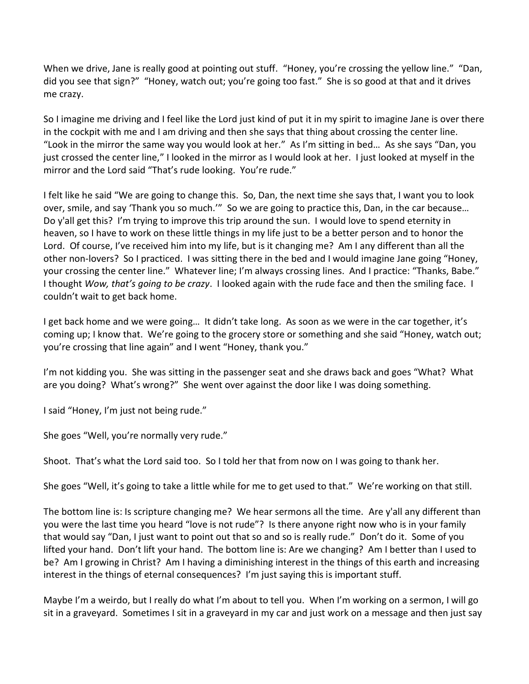When we drive, Jane is really good at pointing out stuff. "Honey, you're crossing the yellow line." "Dan, did you see that sign?" "Honey, watch out; you're going too fast." She is so good at that and it drives me crazy.

So I imagine me driving and I feel like the Lord just kind of put it in my spirit to imagine Jane is over there in the cockpit with me and I am driving and then she says that thing about crossing the center line. "Look in the mirror the same way you would look at her." As I'm sitting in bed… As she says "Dan, you just crossed the center line," I looked in the mirror as I would look at her. I just looked at myself in the mirror and the Lord said "That's rude looking. You're rude."

I felt like he said "We are going to change this. So, Dan, the next time she says that, I want you to look over, smile, and say 'Thank you so much.'" So we are going to practice this, Dan, in the car because… Do y'all get this? I'm trying to improve this trip around the sun. I would love to spend eternity in heaven, so I have to work on these little things in my life just to be a better person and to honor the Lord. Of course, I've received him into my life, but is it changing me? Am I any different than all the other non-lovers? So I practiced. I was sitting there in the bed and I would imagine Jane going "Honey, your crossing the center line." Whatever line; I'm always crossing lines. And I practice: "Thanks, Babe." I thought *Wow, that's going to be crazy*. I looked again with the rude face and then the smiling face. I couldn't wait to get back home.

I get back home and we were going… It didn't take long. As soon as we were in the car together, it's coming up; I know that. We're going to the grocery store or something and she said "Honey, watch out; you're crossing that line again" and I went "Honey, thank you."

I'm not kidding you. She was sitting in the passenger seat and she draws back and goes "What? What are you doing? What's wrong?" She went over against the door like I was doing something.

I said "Honey, I'm just not being rude."

She goes "Well, you're normally very rude."

Shoot. That's what the Lord said too. So I told her that from now on I was going to thank her.

She goes "Well, it's going to take a little while for me to get used to that." We're working on that still.

The bottom line is: Is scripture changing me? We hear sermons all the time. Are y'all any different than you were the last time you heard "love is not rude"? Is there anyone right now who is in your family that would say "Dan, I just want to point out that so and so is really rude." Don't do it. Some of you lifted your hand. Don't lift your hand. The bottom line is: Are we changing? Am I better than I used to be? Am I growing in Christ? Am I having a diminishing interest in the things of this earth and increasing interest in the things of eternal consequences? I'm just saying this is important stuff.

Maybe I'm a weirdo, but I really do what I'm about to tell you. When I'm working on a sermon, I will go sit in a graveyard. Sometimes I sit in a graveyard in my car and just work on a message and then just say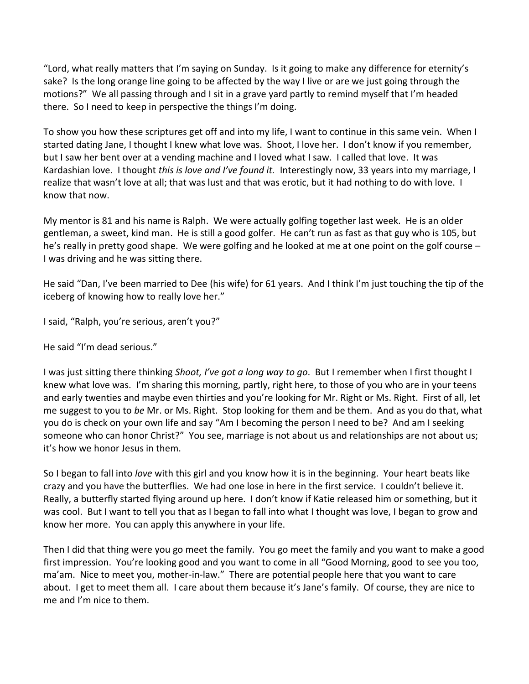"Lord, what really matters that I'm saying on Sunday. Is it going to make any difference for eternity's sake? Is the long orange line going to be affected by the way I live or are we just going through the motions?" We all passing through and I sit in a grave yard partly to remind myself that I'm headed there. So I need to keep in perspective the things I'm doing.

To show you how these scriptures get off and into my life, I want to continue in this same vein. When I started dating Jane, I thought I knew what love was. Shoot, I love her. I don't know if you remember, but I saw her bent over at a vending machine and I loved what I saw. I called that love. It was Kardashian love. I thought *this is love and I've found it.* Interestingly now, 33 years into my marriage, I realize that wasn't love at all; that was lust and that was erotic, but it had nothing to do with love. I know that now.

My mentor is 81 and his name is Ralph. We were actually golfing together last week. He is an older gentleman, a sweet, kind man. He is still a good golfer. He can't run as fast as that guy who is 105, but he's really in pretty good shape. We were golfing and he looked at me at one point on the golf course – I was driving and he was sitting there.

He said "Dan, I've been married to Dee (his wife) for 61 years. And I think I'm just touching the tip of the iceberg of knowing how to really love her."

I said, "Ralph, you're serious, aren't you?"

He said "I'm dead serious."

I was just sitting there thinking *Shoot, I've got a long way to go*. But I remember when I first thought I knew what love was. I'm sharing this morning, partly, right here, to those of you who are in your teens and early twenties and maybe even thirties and you're looking for Mr. Right or Ms. Right. First of all, let me suggest to you to *be* Mr. or Ms. Right. Stop looking for them and be them. And as you do that, what you do is check on your own life and say "Am I becoming the person I need to be? And am I seeking someone who can honor Christ?" You see, marriage is not about us and relationships are not about us; it's how we honor Jesus in them.

So I began to fall into *love* with this girl and you know how it is in the beginning. Your heart beats like crazy and you have the butterflies. We had one lose in here in the first service. I couldn't believe it. Really, a butterfly started flying around up here. I don't know if Katie released him or something, but it was cool. But I want to tell you that as I began to fall into what I thought was love, I began to grow and know her more. You can apply this anywhere in your life.

Then I did that thing were you go meet the family. You go meet the family and you want to make a good first impression. You're looking good and you want to come in all "Good Morning, good to see you too, ma'am. Nice to meet you, mother-in-law." There are potential people here that you want to care about. I get to meet them all. I care about them because it's Jane's family. Of course, they are nice to me and I'm nice to them.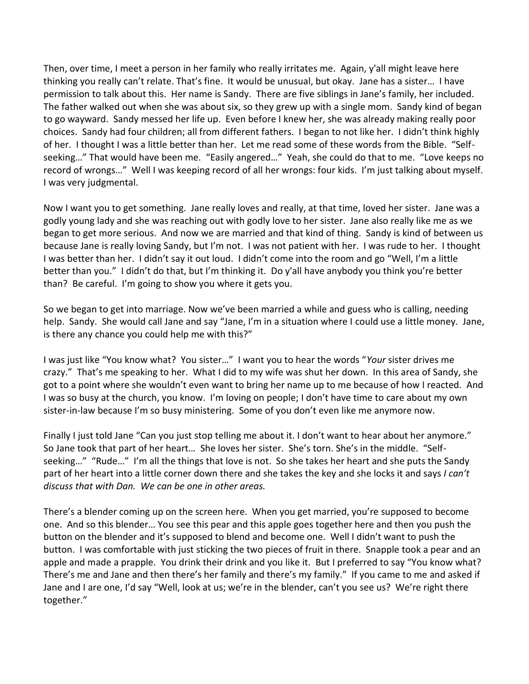Then, over time, I meet a person in her family who really irritates me. Again, y'all might leave here thinking you really can't relate. That's fine. It would be unusual, but okay. Jane has a sister… I have permission to talk about this. Her name is Sandy. There are five siblings in Jane's family, her included. The father walked out when she was about six, so they grew up with a single mom. Sandy kind of began to go wayward. Sandy messed her life up. Even before I knew her, she was already making really poor choices. Sandy had four children; all from different fathers. I began to not like her. I didn't think highly of her. I thought I was a little better than her. Let me read some of these words from the Bible. "Selfseeking…" That would have been me. "Easily angered…" Yeah, she could do that to me. "Love keeps no record of wrongs…" Well I was keeping record of all her wrongs: four kids. I'm just talking about myself. I was very judgmental.

Now I want you to get something. Jane really loves and really, at that time, loved her sister. Jane was a godly young lady and she was reaching out with godly love to her sister. Jane also really like me as we began to get more serious. And now we are married and that kind of thing. Sandy is kind of between us because Jane is really loving Sandy, but I'm not. I was not patient with her. I was rude to her. I thought I was better than her. I didn't say it out loud. I didn't come into the room and go "Well, I'm a little better than you." I didn't do that, but I'm thinking it. Do y'all have anybody you think you're better than? Be careful. I'm going to show you where it gets you.

So we began to get into marriage. Now we've been married a while and guess who is calling, needing help. Sandy. She would call Jane and say "Jane, I'm in a situation where I could use a little money. Jane, is there any chance you could help me with this?"

I was just like "You know what? You sister…" I want you to hear the words "*Your* sister drives me crazy." That's me speaking to her. What I did to my wife was shut her down. In this area of Sandy, she got to a point where she wouldn't even want to bring her name up to me because of how I reacted. And I was so busy at the church, you know. I'm loving on people; I don't have time to care about my own sister-in-law because I'm so busy ministering. Some of you don't even like me anymore now.

Finally I just told Jane "Can you just stop telling me about it. I don't want to hear about her anymore." So Jane took that part of her heart… She loves her sister. She's torn. She's in the middle. "Selfseeking…" "Rude…" I'm all the things that love is not. So she takes her heart and she puts the Sandy part of her heart into a little corner down there and she takes the key and she locks it and says *I can't discuss that with Dan. We can be one in other areas.*

There's a blender coming up on the screen here. When you get married, you're supposed to become one. And so this blender… You see this pear and this apple goes together here and then you push the button on the blender and it's supposed to blend and become one. Well I didn't want to push the button. I was comfortable with just sticking the two pieces of fruit in there. Snapple took a pear and an apple and made a prapple. You drink their drink and you like it. But I preferred to say "You know what? There's me and Jane and then there's her family and there's my family." If you came to me and asked if Jane and I are one, I'd say "Well, look at us; we're in the blender, can't you see us? We're right there together."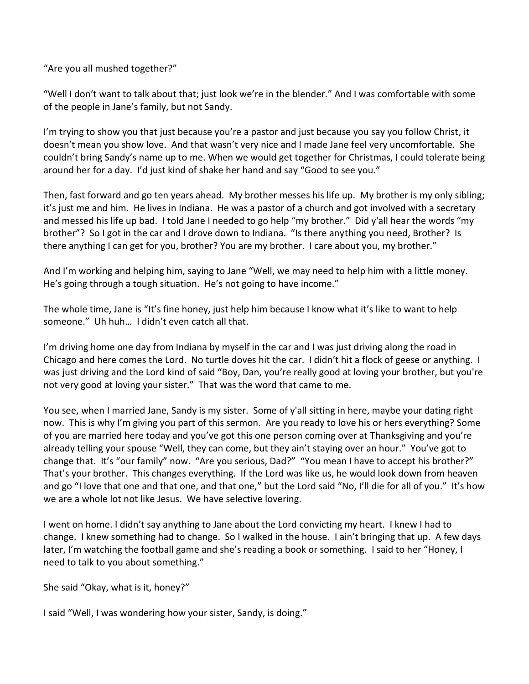"Are you all mushed together?"

"Well I don't want to talk about that; just look we're in the blender." And I was comfortable with some of the people in Jane's family, but not Sandy.

I'm trying to show you that just because you're a pastor and just because you say you follow Christ, it doesn't mean you show love. And that wasn't very nice and I made Jane feel very uncomfortable. She couldn't bring Sandy's name up to me. When we would get together for Christmas, I could tolerate being around her for a day. I'd just kind of shake her hand and say "Good to see you."

Then, fast forward and go ten years ahead. My brother messes his life up. My brother is my only sibling; it's just me and him. He lives in Indiana. He was a pastor of a church and got involved with a secretary and messed his life up bad. I told Jane I needed to go help "my brother." Did y'all hear the words "my brother"? So I got in the car and I drove down to Indiana. "Is there anything you need, Brother? Is there anything I can get for you, brother? You are my brother. I care about you, my brother."

And I'm working and helping him, saying to Jane "Well, we may need to help him with a little money. He's going through a tough situation. He's not going to have income."

The whole time, Jane is "It's fine honey, just help him because I know what it's like to want to help someone." Uh huh… I didn't even catch all that.

I'm driving home one day from Indiana by myself in the car and I was just driving along the road in Chicago and here comes the Lord. No turtle doves hit the car. I didn't hit a flock of geese or anything. I was just driving and the Lord kind of said "Boy, Dan, you're really good at loving your brother, but you're not very good at loving your sister." That was the word that came to me.

You see, when I married Jane, Sandy is my sister. Some of y'all sitting in here, maybe your dating right now. This is why I'm giving you part of this sermon. Are you ready to love his or hers everything? Some of you are married here today and you've got this one person coming over at Thanksgiving and you're already telling your spouse "Well, they can come, but they ain't staying over an hour." You've got to change that. It's "our family" now. "Are you serious, Dad?" "You mean I have to accept his brother?" That's your brother. This changes everything. If the Lord was like us, he would look down from heaven and go "I love that one and that one, and that one," but the Lord said "No, I'll die for all of you." It's how we are a whole lot not like Jesus. We have selective lovering.

I went on home. I didn't say anything to Jane about the Lord convicting my heart. I knew I had to change. I knew something had to change. So I walked in the house. I ain't bringing that up. A few days later, I'm watching the football game and she's reading a book or something. I said to her "Honey, I need to talk to you about something."

She said "Okay, what is it, honey?"

I said "Well, I was wondering how your sister, Sandy, is doing."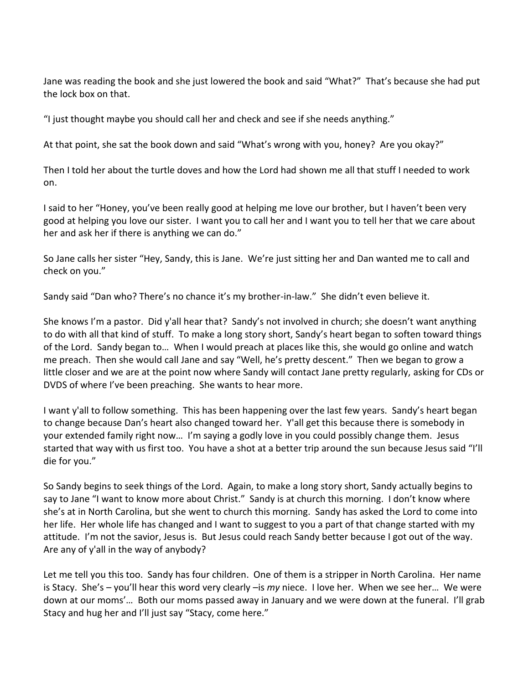Jane was reading the book and she just lowered the book and said "What?" That's because she had put the lock box on that.

"I just thought maybe you should call her and check and see if she needs anything."

At that point, she sat the book down and said "What's wrong with you, honey? Are you okay?"

Then I told her about the turtle doves and how the Lord had shown me all that stuff I needed to work on.

I said to her "Honey, you've been really good at helping me love our brother, but I haven't been very good at helping you love our sister. I want you to call her and I want you to tell her that we care about her and ask her if there is anything we can do."

So Jane calls her sister "Hey, Sandy, this is Jane. We're just sitting her and Dan wanted me to call and check on you."

Sandy said "Dan who? There's no chance it's my brother-in-law." She didn't even believe it.

She knows I'm a pastor. Did y'all hear that? Sandy's not involved in church; she doesn't want anything to do with all that kind of stuff. To make a long story short, Sandy's heart began to soften toward things of the Lord. Sandy began to… When I would preach at places like this, she would go online and watch me preach. Then she would call Jane and say "Well, he's pretty descent." Then we began to grow a little closer and we are at the point now where Sandy will contact Jane pretty regularly, asking for CDs or DVDS of where I've been preaching. She wants to hear more.

I want y'all to follow something. This has been happening over the last few years. Sandy's heart began to change because Dan's heart also changed toward her. Y'all get this because there is somebody in your extended family right now… I'm saying a godly love in you could possibly change them. Jesus started that way with us first too. You have a shot at a better trip around the sun because Jesus said "I'll die for you."

So Sandy begins to seek things of the Lord. Again, to make a long story short, Sandy actually begins to say to Jane "I want to know more about Christ." Sandy is at church this morning. I don't know where she's at in North Carolina, but she went to church this morning. Sandy has asked the Lord to come into her life. Her whole life has changed and I want to suggest to you a part of that change started with my attitude. I'm not the savior, Jesus is. But Jesus could reach Sandy better because I got out of the way. Are any of y'all in the way of anybody?

Let me tell you this too. Sandy has four children. One of them is a stripper in North Carolina. Her name is Stacy. She's – you'll hear this word very clearly –is *my* niece. I love her. When we see her… We were down at our moms'… Both our moms passed away in January and we were down at the funeral. I'll grab Stacy and hug her and I'll just say "Stacy, come here."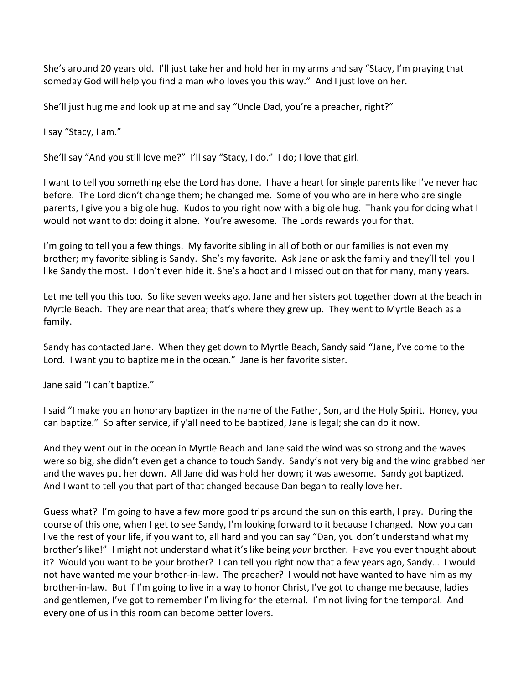She's around 20 years old. I'll just take her and hold her in my arms and say "Stacy, I'm praying that someday God will help you find a man who loves you this way." And I just love on her.

She'll just hug me and look up at me and say "Uncle Dad, you're a preacher, right?"

I say "Stacy, I am."

She'll say "And you still love me?" I'll say "Stacy, I do." I do; I love that girl.

I want to tell you something else the Lord has done. I have a heart for single parents like I've never had before. The Lord didn't change them; he changed me. Some of you who are in here who are single parents, I give you a big ole hug. Kudos to you right now with a big ole hug. Thank you for doing what I would not want to do: doing it alone. You're awesome. The Lords rewards you for that.

I'm going to tell you a few things. My favorite sibling in all of both or our families is not even my brother; my favorite sibling is Sandy. She's my favorite. Ask Jane or ask the family and they'll tell you I like Sandy the most. I don't even hide it. She's a hoot and I missed out on that for many, many years.

Let me tell you this too. So like seven weeks ago, Jane and her sisters got together down at the beach in Myrtle Beach. They are near that area; that's where they grew up. They went to Myrtle Beach as a family.

Sandy has contacted Jane. When they get down to Myrtle Beach, Sandy said "Jane, I've come to the Lord. I want you to baptize me in the ocean." Jane is her favorite sister.

Jane said "I can't baptize."

I said "I make you an honorary baptizer in the name of the Father, Son, and the Holy Spirit. Honey, you can baptize." So after service, if y'all need to be baptized, Jane is legal; she can do it now.

And they went out in the ocean in Myrtle Beach and Jane said the wind was so strong and the waves were so big, she didn't even get a chance to touch Sandy. Sandy's not very big and the wind grabbed her and the waves put her down. All Jane did was hold her down; it was awesome. Sandy got baptized. And I want to tell you that part of that changed because Dan began to really love her.

Guess what? I'm going to have a few more good trips around the sun on this earth, I pray. During the course of this one, when I get to see Sandy, I'm looking forward to it because I changed. Now you can live the rest of your life, if you want to, all hard and you can say "Dan, you don't understand what my brother's like!" I might not understand what it's like being *your* brother. Have you ever thought about it? Would you want to be your brother? I can tell you right now that a few years ago, Sandy… I would not have wanted me your brother-in-law. The preacher? I would not have wanted to have him as my brother-in-law. But if I'm going to live in a way to honor Christ, I've got to change me because, ladies and gentlemen, I've got to remember I'm living for the eternal. I'm not living for the temporal. And every one of us in this room can become better lovers.